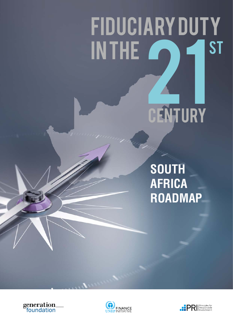# FIDUCIARYDUTY INTHE<sup>2</sup> 21 **CENTURY ST**

**SOUTH AFRICA ROADMAP**





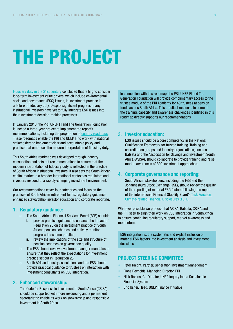# THE PROJECT

[Fiduciary duty in the 21st century](https://www.unpri.org/download_report/6131) concluded that failing to consider long-term investment value drivers, which include environmental, social and governance (ESG) issues, in investment practice is a failure of fiduciary duty. Despite significant progress, many institutional investors have yet to fully integrate ESG issues into their investment decision-making processes.

In January 2016, the PRI, UNEP FI and The Generation Foundation launched a three-year project to implement the report's recommendations, including the preparation of [country roadmaps](http://www.fiduciaryduty21.org/country-roadmaps.html). These roadmaps enable the PRI and UNEP FI to work with national stakeholders to implement clear and accountable policy and practice that embraces the modern interpretation of fiduciary duty.

This South Africa roadmap was developed through industry consultation and sets out recommendations to ensure that the modern interpretation of fiduciary duty is reflected in the practice of South African institutional investors. It also sets the South African capital market in a broader international context as regulators and investors respond to a rapidly-changing investment environment.

Our recommendations cover four categories and focus on the practices of South African retirement funds: regulatory guidance, enhanced stewardship, investor education and corporate reporting.

## 1. Regulatory guidance:

- a. The South African Financial Services Board (FSB) should:
	- i. provide practical guidance to enhance the impact of Regulation 28 on the investment practice of South African pension schemes and actively monitor progress in scheme practice;
	- ii. review the implications of the size and structure of pension schemes on governance quality.
- b. The FSB should review investment manager mandates to ensure that they reflect the expectations for investment practice set out in Regulation 28.
- c. South African industry associations and the FSB should provide practical guidance to trustees on interaction with investment consultants on ESG integration.

#### 2. Enhanced stewardship:

The Code for Responsible Investment in South Africa (CRISA) should be supported with more resourcing and a permanent secretariat to enable its work on stewardship and responsible investment in South Africa.

In connection with this roadmap, the PRI, UNEP FI and The Generation Foundation will provide complimentary access to the trustee module of the PRI Academy for 40 trustees at pension funds across South Africa. This practical response to some of the training, capacity and awareness challenges identified in this roadmap directly supports our recommendations

#### 3. Investor education:

ESG issues should be a core competency in the National Qualification Framework for trustee training. Training and accreditation groups and industry organisations, such as Batseta and the Association for Savings and Investment South Africa (ASISA), should collaborate to provide training and raise market awareness of ESG investment approaches.

#### 4. Corporate governance and reporting:

South African stakeholders, including the FSB and the Johannesburg Stock Exchange (JSE), should review the quality of the reporting of material ESG factors following the report of the international Financial Stability Board's **Task Force on** [Climate-related Financial Disclosures \(TCFD\)](https://www.fsb-tcfd.org/).

Wherever possible we propose that ASISA, Batseta, CRISA and the PRI seek to align their work on ESG integration in South Africa to ensure continuing regulatory support, market awareness and momentum.

ESG integration is: the systematic and explicit inclusion of material ESG factors into investment analysis and investment decisions

### PROJECT STEERING COMMITTEE

- Peter Knight, Partner, Generation Investment Management
- Fiona Reynolds, Managing Director, PRI
- Nick Robins, Co-Director, UNEP Inquiry into a Sustainable Financial System
- Eric Usher, Head, UNEP Finance Initiative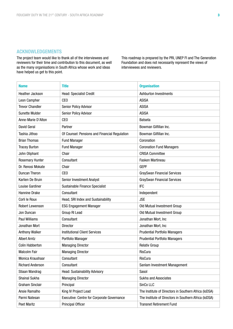### ACKNOWLEDGEMENTS

The project team would like to thank all of the interviewees and reviewers for their time and contribution to this document, as well as the many organisations in South Africa whose work and ideas have helped us get to this point.

This roadmap is prepared by the PRI, UNEP FI and The Generation Foundation and does not necessarily represent the views of interviewees and reviewers.

| <b>Name</b>             | <b>Title</b>                                  | <b>Organisation</b>                                   |
|-------------------------|-----------------------------------------------|-------------------------------------------------------|
| Heather Jackson         | Head: Specialist Credit                       | Ashburton Investments                                 |
| Leon Campher            | CE <sub>0</sub>                               | <b>ASISA</b>                                          |
| <b>Trevor Chandler</b>  | Senior Policy Advisor                         | <b>ASISA</b>                                          |
| <b>Sunette Mulder</b>   | Senior Policy Advisor                         | <b>ASISA</b>                                          |
| Anne-Marie D'Alton      | CE <sub>0</sub>                               | Batseta                                               |
| David Geral             | Partner                                       | Bowman Gilfillan Inc.                                 |
| Tashia Jithoo           | Of Counsel: Pensions and Financial Regulation | Bowman Gilfillan Inc.                                 |
| <b>Brian Thomas</b>     | <b>Fund Manager</b>                           | Coronation                                            |
| <b>Tracey Burton</b>    | <b>Fund Manager</b>                           | <b>Coronation Fund Managers</b>                       |
| John Oliphant           | Chair                                         | <b>CRISA Committee</b>                                |
| <b>Rosemary Hunter</b>  | Consultant                                    | Fasken Martineau                                      |
| Dr. Renosi Mokate       | Chair                                         | <b>GEPF</b>                                           |
| <b>Duncan Theron</b>    | CE <sub>0</sub>                               | <b>GraySwan Financial Services</b>                    |
| Karlien De Bruin        | <b>Senior Investment Analyst</b>              | <b>GraySwan Financial Services</b>                    |
| Louise Gardiner         | Sustainable Finance Specialist                | <b>IFC</b>                                            |
| Hannine Drake           | Consultant                                    | Independent                                           |
| Corli le Roux           | Head, SRI Index and Sustainability            | <b>JSE</b>                                            |
| Robert Lewenson         | <b>ESG Engagement Manager</b>                 | Old Mutual Investment Group                           |
| Jon Duncan              | Group RI Lead                                 | Old Mutual Investment Group                           |
| <b>Paul Williams</b>    | Consultant                                    | Jonathan Mort, Inc                                    |
| Jonathan Mort           | Director                                      | Jonathan Mort, Inc                                    |
| <b>Anthony Walker</b>   | <b>Institutional Client Services</b>          | <b>Prudential Portfolio Managers</b>                  |
| <b>Albert Arntz</b>     | Portfolio Manager                             | <b>Prudential Portfolio Managers</b>                  |
| <b>Colin Habberton</b>  | <b>Managing Director</b>                      | <b>Relativ Group</b>                                  |
| <b>Malcolm Fair</b>     | <b>Managing Director</b>                      | RisCura                                               |
| Monica Kraushaar        | Consultant                                    | RisCura                                               |
| <b>Richard Anderson</b> | Consultant                                    | Sanlam Investment Management                          |
| Stiaan Wandrag          | <b>Head: Sustainability Advisory</b>          | Sasol                                                 |
| Shainal Sukha           | <b>Managing Director</b>                      | Sukha and Associates                                  |
| Graham Sinclair         | Principal                                     | SinCo LLC                                             |
| Ansie Ramalho           | King IV Project Lead                          | The Institute of Directors in Southern Africa (IoDSA) |
| Parmi Natesan           | Executive: Centre for Corporate Governance    | The Institute of Directors in Southern Africa (IoDSA) |
| <b>Peet Maritz</b>      | Principal Officer                             | <b>Transnet Retirement Fund</b>                       |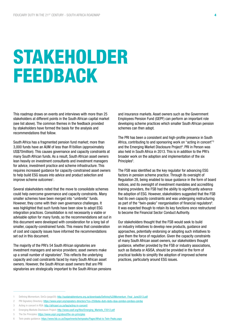# STAKEHOLDER FEEDBACK

This roadmap draws on events and interviews with more than 25 stakeholders at different points in the South African capital market (see list above). The common themes in the feedback provided by stakeholders have formed the basis for the analysis and recommendations that follow.

South Africa has a fragmented pension fund market; more than 3,000 funds have an AUM of less than R1billion (approximately US\$70million). This causes governance and capacity constraints at many South African funds. As a result, South African asset owners lean heavily on investment consultants and investment managers for advice, investment practice and scheme infrastructure. This requires increased guidance for capacity-constrained asset owners to help build ESG issues into advice and product selection and improve scheme outcomes<sup>1</sup>.

Several stakeholders noted that the move to consolidate schemes could help overcome governance and capacity constraints. Many smaller schemes have been merged into "umbrella" funds. However, they come with their own governance challenges. It was highlighted that such funds have been slow to adopt ESG integration practices. Consolidation is not necessarily a viable or advisable option for many funds, so the recommendations set out in this document were developed with consideration for a long tail of smaller, capacity-constrained funds. This means that consideration of cost and capacity issues have informed the recommendations set out in this document.

The majority of the PRI's 54 South African signatories are investment managers and service providers; asset owners make up a small number of signatories<sup>2</sup>. This reflects the underlying capacity and cost constraints faced by many South African asset owners. However, the South African asset owners that are PRI signatories are strategically important to the South African pensions and insurance markets. Asset owners such as the Government Employees Pension Fund (GEPF) can perform an important role developing scheme practices which smaller South African pension schemes can then adopt.

The PRI has been a consistent and high-profile presence in South Africa, contributing to and sponsoring work on "acting in concert"3 and the Emerging Market Disclosure Project<sup>4</sup>. PRI in Person was also held in South Africa in 2013. This is in addition to the PRI's broader work on the adoption and implementation of the six Principles<sup>5</sup>.

The FSB was identified as the key regulator for advancing ESG factors in pension scheme practice. Through its oversight of Regulation 28, being enabled to issue guidance in the form of board notices, and its oversight of investment mandates and accrediting training providers, the FSB had the ability to significantly advance the adoption of ESG. However, stakeholders suggested that the FSB had its own capacity constraints and was undergoing restructuring as part of the "twin-peaks" reorganisation of financial regulators $6$ . It was expected though to retain its key functions once restructured to become the Financial Sector Conduct Authority.

Our stakeholders thought that the FSB would seek to build on industry initiatives to develop new products, guidance and approaches, potentially endorsing or adopting such initiatives to give them the force of regulation. Given the capacity constraints of many South African asset owners, our stakeholders thought guidance, whether provided by the FSB or industry associations, such as Batseta or ASISA, should be provided in the form of practical toolkits to simplify the adoption of improved scheme practices, particularly around ESG issues.

<sup>1</sup> Defining Momentum, SinCo (page20): [http://sustainablereturns.org.za/downloads/Defining%20Momentum\\_Final\\_June2013.pdf](http://sustainablereturns.org.za/downloads/Defining%20Momentum_Final_June2013.pdf)

<sup>2</sup> PRI Signatory Directory:<https://www.unpri.org/signatory-directory/?co=250&sta=&sti=&sts=&sa=join&si=join&ss=join&q>

<sup>3</sup> Acting in concert in RSA:<http://africasri.co.za/tag/acting-in-concert/>

<sup>4</sup> Emerging Markets Disclosure Project: [http://www.ussif.org/files/Emerging\\_Markets\\_F2012.pdf](http://www.ussif.org/files/Emerging_Markets_F2012.pdf)

<sup>5</sup> The Six Principles:<https://www.unpri.org/about/the-six-principles>

<sup>6</sup> Twin peaks guidance: <https://www.fsb.co.za/Departments/twinpeaks/Pages/What-is-Twin-Peaks.aspx>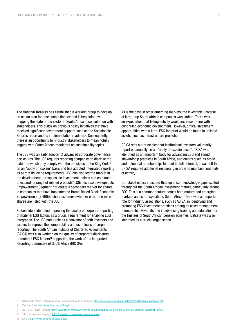The National Treasury has established a working group to develop an action plan for sustainable finance and is beginning by mapping the state of the sector in South Africa in consultation with stakeholders. This builds on previous policy initiatives that have received significant government support, such as the Sustainable Returns report and its implementation roadmap<sup>7</sup>. Consequently, there is an opportunity for industry stakeholders to meaningfully engage with South African regulators on sustainability topics.

The JSE was an early adopter of advanced corporate governance disclosures. The JSE requires reporting companies to disclose the extent to which they comply with the principles of the King Code<sup>8</sup> on an "apply or explain" basis and has adopted integrated reporting as part of its listing requirements. JSE has also led the market in the development of responsible investment indices and continues to expand its range of related products<sup>9</sup>. JSE has also developed its Empowerment Segment<sup>10</sup> to create a secondary market for shares in companies that have implemented Broad-Based Black Economic Empowerment (B-BBEE) share schemes (whether or not the main shares are listed with the JSE).

Stakeholders identified improving the quality of corporate reporting of material ESG factors as a crucial requirement for enabling ESG integration. The JSE had a role as a convenor of both investors and issuers to improve the comparability and usefulness of corporate reporting. The South African Institute of Chartered Accountants (SAICA) was also working on the quality of corporate disclosures of material ESG factors<sup>11</sup> supporting the work of the Integrated Reporting Committee of South Africa (IRC SA).

As is the case in other emerging markets, the investable universe of large-cap South African companies was limited. There was an expectation that listing activity would increase in-line with continuing economic development. However, critical investment opportunities with a large ESG footprint would be found in unlisted assets (such as infrastructure projects).

CRISA sets out principles that institutional investors voluntarily report on annually on an "apply or explain basis". CRISA was identified as an important body for advancing ESG and sound stewardship practices in South Africa, particularly given its broad and influential membership. To meet its full potential, it was felt that CRISA required additional resourcing in order to maintain continuity of activity.

Our stakeholders indicated that significant knowledge-gaps existed throughout the South African investment market, particularly around ESG. This is a common feature across both mature and emerging markets and is not specific to South Africa. There was an important role for industry associations, such as ASISA, in identifying and promoting ESG investment practices among its asset management membership. Given its role in advancing training and education for the trustees of South African pension schemes, Batseta was also identified as a crucial organisation.

<sup>7</sup> Sustainable Returns, actions steps for South African pension schemes: [http://sustainablereturns.org.za/downloads/Roadmap\\_download.pdf](http://sustainablereturns.org.za/downloads/Roadmap_download.pdf)

<sup>8</sup> The King Code:<http://www.iodsa.co.za/?kingIII>

<sup>9</sup> JSE / FTSE Russell RI index:<https://www.jse.co.za/services/market-data/indices/ftse-jse-africa-index-series/responsible-investment-index>

<sup>10</sup> JSE Empowerment Segment: <https://www.jse.co.za/empowerment-segment>

<sup>11</sup> SAICA:<https://www.saica.co.za/Default.aspx>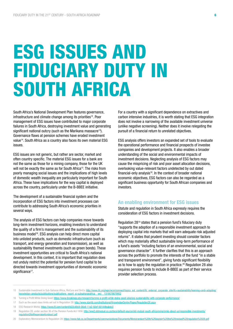# ESG ISSUES AND FIDUCIARY DUTY IN SOUTH AFRICA

South Africa's National Development Plan features governance, infrastructure and climate change among its priorities<sup>12</sup>. Poor management of ESG issues have contributed to major corporate failures in South Africa, destroying investment value and generating significant national outcry (such as the Marikana massacre<sup>13</sup>). Governance flaws at pension schemes have eroded investment value<sup>14</sup>. South Africa as a country also faces its own material ESG issues.

ESG issues are not generic, but rather are sector, market and often country specific. The material ESG issues for a bank are not the same as those for a mining company, those for the UK will not be exactly the same as for South Africa<sup>15</sup>. The risks from poorly managing social issues and the implications of high levels of domestic wealth inequality are particularly important for South Africa. These have implications for the way capital is deployed across the country, particularly under the B-BBEE initiative.

The development of a sustainable financial system and the incorporation of ESG factors into investment processes can contribute to addressing South Africa's economic priorities in several ways.

The analysis of ESG factors can help companies move towards long-term investment horizons, enabling investors to understand the quality of a firm's management and the sustainability of its business model<sup>16</sup>. ESG analysis can help direct more capital into unlisted products, such as domestic infrastructure (such as transport, and energy generation and transmission), as well as sustainability themed investments (such as green bonds). These investment opportunities are critical to South Africa's national development. In this context, it is important that regulation does not unduly restrict the potential for pension fund capital to be directed towards investment opportunities of domestic economic significance<sup>17</sup>.

For a country with a significant dependence on extractives and carbon intensive industries, it is worth stating that ESG integration does not involve a narrowing of the available investment universe (unlike negative screening). Neither does it involve relegating the pursuit of a financial return to unrelated objectives.

ESG analysis offers investors an expanded set of tools to evaluate the operational performance and financial prospects of investee companies and development projects. It also enables a broader understanding of the social and environmental impacts of investment decisions. Neglecting analysis of ESG factors may cause the mispricing of risk and poor asset allocation decisions, overlooking value-relevant factors undetected by out dated financial-only analysis<sup>18</sup>. In the context of broader national economic objectives, ESG factors can also be regarded as a significant business opportunity for South African companies and investors.

#### An enabling environment for ESG issues

Statute and regulation in South Africa expressly requires the consideration of ESG factors in investment decisions.

Regulation 2819 states that a pension fund's fiduciary duty "supports the adoption of a responsible investment approach to deploying capital into markets that will earn adequate risk adjusted returns". It states that prudent investing should consider factors which may materially affect sustainable long-term performance of a fund's assets "including factors of an environmental, social and governance character". It further clarifies that this is an approach across the portfolio to promote the interests of the fund "in a stable and transparent environment", giving funds significant flexibility as to how to apply the regulation in practice.<sup>20</sup> Regulation 28 also requires pension funds to include B-BBEE as part of their service provider selection process.

16 Turning a Profit While Doing Good: <https://www.brookings.edu/research/turning-a-profit-while-doing-good-aligning-sustainability-with-corporate-performance/>

18 ESG Research Works:<https://www.ft.com/content/b22c49c8-06e8-11e2-92ef-00144feabdc0>

<sup>15</sup> Sustainable Investment in Sub-Saharan Africa, RisCura and SinCo: http://www.ifc.org/wps/wcm/connect/topics\_ext\_content/ifc\_external\_corporate\_site/ifc+sustainability/learning+and+adapting [knowledge+products/publications/publications\\_report\\_si-subsaharanafrica\\_\\_wci\\_\\_1319578679952](http://www.ifc.org/wps/wcm/connect/topics_ext_content/ifc_external_corporate_site/ifc+sustainability/learning+and+adapting/knowledge+products/publications/publications_report_si-subsaharanafrica__wci__1319578679952)

<sup>17</sup> Such as the asset class limits set out in Regulation 28: <http://www.stanlib.com/Institutional/KnowledgeCentre/Pages/Regulation28.aspx>

<sup>19</sup> Regulation 28, under section 36 of the Pension Funds Act 1956: http://ww2.oldmutual.co.za/docs/default-source/old-mutual-south-africa/on [regulation28ofthepensionfundsact.pdf](http://ww2.oldmutual.co.za/docs/default-source/old-mutual-south-africa/omig/omig-about-us/responsible-investments/regulation28ofthepensionfundsact.pdf)

<sup>20</sup> Explanatory Memorandum to Regulation 28:<https://www.fsb.co.za/Departments/communications/Documents/Memorandum%20to%20explain%20the%20revised%20regulation%2028.pdf>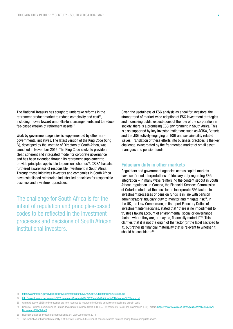The National Treasury has sought to undertake reforms in the retirement product market to reduce complexity and cost<sup>21</sup>, including moves toward umbrella-fund arrangements and to reduce fee-based erosion of retirement assets<sup>22</sup>.

Work by government agencies is supplemented by other nongovernmental initiatives. The latest version of the King Code (King IV), developed by the Institute of Directors of South Africa, was launched in November 2016. The King Code seeks to provide a clear, coherent and integrated model for corporate governance and has been extended through its retirement supplement to provide principles applicable to pension schemes<sup>23</sup>. CRISA has also furthered awareness of responsible investment in South Africa. Through these initiatives investors and companies in South Africa have established reinforcing industry-led principles for responsible business and investment practices.

The challenge for South Africa is for the intent of regulation and principles-based codes to be reflected in the investment processes and decisions of South African institutional investors.

Given the usefulness of ESG analysis as a tool for investors, the strong trend of market-wide adoption of ESG investment strategies and increasing public expectations of the role of the corporation in society, there is a promising ESG environment in South Africa. This is also supported by key investor institutions such as ASISA, Batseta and the JSE actively engaging on ESG and sustainability related issues. Translation of these efforts into business practices is the key challenge, exacerbated by the fragmented market of small asset managers and pension funds.

#### Fiduciary duty in other markets

Regulators and government agencies across capital markets have confirmed interpretations of fiduciary duty regarding ESG integration – in many ways reinforcing the content set out in South African regulation. In Canada, the Financial Services Commission of Ontario noted that the decision to incorporate ESG factors in investment processes of pension funds is in line with pension administrators' fiduciary duty to monitor and mitigate risk<sup>24</sup>. In the UK, the Law Commission, in its report Fiduciary Duties of Investment Intermediaries, stated that "there is no impediment to trustees taking account of environmental, social or governance factors where they are, or may be, financially material"25. This clarifies that it is not the origin of the factor (or the label ascribed to it), but rather its financial materiality that is relevant to whether it should be considered<sup>26</sup>.

22 <http://www.treasury.gov.za/public%20comments/Charges%20in%20South%20African%20Retirement%20Funds.pdf>

<sup>21</sup> <http://www.treasury.gov.za/publications/RetirementReform/FAQ%20on%20Retirement%20Reform.pdf>

<sup>23</sup> As noted above, JSE listed companies are now required to report on the King IV principles on apply and explain basis

<sup>24</sup> Financial Services Commission of Ontario, Investment Guidance Notes: IGN-004: Environmental Social and Governance (ESG) Factors, [https://www.fsco.gov.on.ca/en/pensions/policies/active/](https://www.fsco.gov.on.ca/en/pensions/policies/active/Documents/IGN-004.pdf) [Documents/IGN-004.pdf](https://www.fsco.gov.on.ca/en/pensions/policies/active/Documents/IGN-004.pdf)

<sup>25</sup> Fiduciary Duties of Investment Intermediaries, UK Law Commission 2014

<sup>26</sup> The evaluation of financial materiality is at the well-reasoned discretion of pension scheme trustees having taken appropriate advice.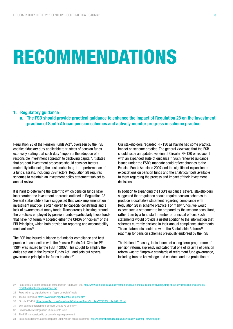# RECOMMENDATIONS

#### 1. Regulatory guidance

a. The FSB should provide practical guidance to enhance the impact of Regulation 28 on the investment practice of South African pension schemes and actively monitor progress in scheme practice

Regulation 28 of the Pension Funds Act<sup>27</sup>, overseen by the FSB. codifies fiduciary duty applicable to trustees of pension funds expressly stating that such duty "supports the adoption of a responsible investment approach to deploying capital". It states that prudent investment processes should consider factors materially influencing the sustainable long-term performance of a fund's assets, including ESG factors. Regulation 28 requires schemes to maintain an investment policy statement subject to annual review.

It is hard to determine the extent to which pension funds have incorporated the investment approach outlined in Regulation 28. Several stakeholders have suggested that weak implementation in investment practice is often driven by capacity constraints and a lack of awareness at many funds. Transparency is lacking around the practices employed by pension funds – particularly those funds that have not formally adopted either the CRISA principles<sup>28</sup> or the PRI Principles, which both provide for reporting and accountability mechanisms<sup>29</sup>

The FSB has issued guidance to funds for compliance and best practice in connection with the Pension Funds Act. Circular PF-130<sup>30</sup> was issued by the FSB in 2007. This sought to amplify the duties set out in the Pension Funds  $Act<sup>31</sup>$  and sets out several governance principles for funds to adopt<sup>32</sup>.

Our stakeholders regarded PF-130 as having had some practical impact on scheme practice. The general view was that the FSB should issue an updated version of Circular PF-130 or replace it with an expanded suite of guidance<sup>33</sup>. Such renewed guidance issued under the FSB's mandate could reflect changes to the Pension Funds Act since 2007 and the significant expansion in expectations on pension funds and the analytical tools available to them regarding the process and impact of their investment decisions.

In addition to expanding the FSB's guidance, several stakeholders suggested that regulation should require pension schemes to produce a qualitative statement regarding compliance with Regulation 28 in scheme practice. For many funds, we would expect such a statement to be prepared by the scheme consultant, rather than by a fund staff member or principal officer. Such statements would provide a useful addition to the information that schemes currently disclose in their annual compliance statements. These statements could draw on the Sustainable Returns<sup>34</sup> roadmap for pension schemes previously endorsed by the FSB.

The National Treasury, in its launch of a long-term programme of pension reform, expressly indicated that one of its aims of pension reform was to: "Improve standards of retirement fund governance, including trustee knowledge and conduct, and the protection of

33 The FSB is understood to be considering a replacement

<sup>27</sup> Regulation 28, under section 36 of the Pension Funds Act 1956: [http://ww2.oldmutual.co.za/docs/default-source/old-mutual-south-africa/omig/omig-about-us/responsible-investments/](http://ww2.oldmutual.co.za/docs/default-source/old-mutual-south-africa/omig/omig-about-us/responsible-investments/regulation28ofthepensionfundsact.pdf) [regulation28ofthepensionfundsact.pdf](http://ww2.oldmutual.co.za/docs/default-source/old-mutual-south-africa/omig/omig-about-us/responsible-investments/regulation28ofthepensionfundsact.pdf)

<sup>28</sup> Reported on by signatories on an "apply or explain" basis

<sup>29</sup> The Six Principles:<https://www.unpri.org/about/the-six-principles>

<sup>30</sup> Circular PF-130: <https://www.fsb.co.za/Departments/retirementFund/Circulars/PF%20Circular%20130.pdf>

<sup>31</sup> With particular reference to sections 7c and 7d of the PFA

<sup>32</sup> Published before Regulation 28 came into force

<sup>34</sup> Sustainable Returns, actions steps for South African pension schemes: [http://sustainablereturns.org.za/downloads/Roadmap\\_download.pdf](http://sustainablereturns.org.za/downloads/Roadmap_download.pdf)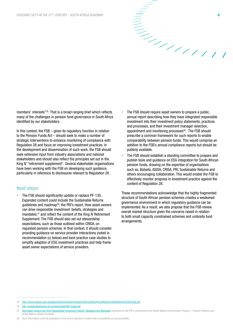

members' interests"35. That is a broad ranging brief which reflects many of the challenges in pension fund governance in South Africa identified by our stakeholders.

In this context, the  $FSB -$  given its regulatory function in relation to the Pension Funds Act – should seek to make a number of strategic interventions to enhance monitoring of compliance with Regulation 28 and focus on improving investment practices. In the development and dissemination of such work, the FSB should seek extensive input from industry associations and national stakeholders and should also reflect the principles set out in the King IV "retirement supplement". Several stakeholder organisations have been working with the FSB on developing such guidance, particularly in reference to disclosures relevant to Regulation 28.

#### Next steps:

The FSB should significantly update or replace PF-130. Expanded content could include the Sustainable Returns guidelines and roadmap<sup>36</sup>; the PRI's report, How asset owners can drive responsible investment: beliefs, strategies and mandates;<sup>37</sup> and reflect the content of the King IV Retirement Supplement. The FSB should also set out stewardship expectations, such as those outlined within CRISA, on regulated pension schemes. In that context, it should consider providing guidance on service provider interactions (noted in recommendation (c) below) and best-practice case studies to simplify adoption of ESG investment practices and help frame asset owner expectations of service providers.

- The FSB should require asset owners to prepare a public, annual report describing how they have integrated responsible investment into their investment policy statements, practices and processes, and their investment manager selection, appointment and monitoring processes<sup>38</sup>. The FSB should prescribe a common framework for such reports to enable comparability between pension funds. This would comprise an addition to the FSB's annual compliance reports but should be publicly available.
- The FSB should establish a standing committee to prepare and publish tools and guidance on ESG integration for South African pension funds, drawing on the expertise of organisations such as, Batseta, ASISA, CRISA, PRI, Sustainable Returns and others encouraging collaboration. This would enable the FSB to effectively monitor progress in investment practice against the content of Regulation 28.

These recommendations acknowledge that the highly fragmented structure of South African pension schemes creates a weakened governance environment in which regulatory guidance can be implemented. As a result, we also propose that the FSB review overall market structure given the concerns raised in relation to both small capacity constrained schemes and umbrella fund arrangements.

<sup>35</sup> <http://www.treasury.gov.za/public%20comments/Charges%20in%20South%20African%20Retirement%20Funds.pdf>

<sup>36</sup> <http://sustainablereturns.org.za/downloads/RIO-Guide.pdf>

<sup>37</sup> [How Asset Owners Can Drive Responsible Investment: Beliefs, Strategies and Mandates](https://www.google.co.uk/url?sa=t&rct=j&q=&esrc=s&source=web&cd=1&cad=rja&uact=8&ved=0ahUKEwjvupDRzo3UAhVqLcAKHWdIBZ4QFgg0MAA&url=https%3A%2F%2Fwww.unpri.org%2Fdownload_report%2F6385&usg=AFQjCNFCQAFp9rnfOgUl3exKzWn7BxSejw&sig2=5idFsD0vmMz0LZI6qYU3gg) (produced by the PRI in partnership with United Nations Environment Program – Finance Initiative and United Nations Global Compact)

<sup>38</sup> Such information could be published on the fund's website to enable wide accessibility and accountability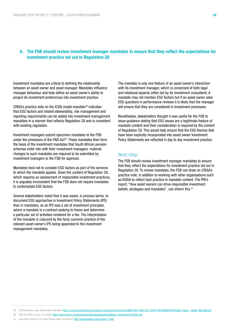# b. The FSB should review investment manager mandates to ensure that they reflect the expectations for investment practice set out in Regulation 28

Investment mandates are critical to defining the relationship between an asset owner and asset manager. Mandates influence manager behaviour and help define an asset owner's ability to project its investment preferences into investment practice.

CRISA's practice note on the ICGN model mandate39 indicates that ESG factors and related stewardship, risk management and reporting requirements can be added into investment management mandates in a manner that reflects Regulation 28 and is consistent with existing regulation.

Investment managers submit specimen mandates to the FSB under the provisions of the FAIS Act<sup>40</sup>. These mandates then form the basis of the investment mandates that South African pension schemes enter into with their investment managers; material changes to such mandates are required to be submitted by investment managers to the FSB for approval.

Mandates tend not to consider ESG factors as part of the services to which the mandate applies. Given the content of Regulation 28, which requires an assessment of responsible investment practices, it is arguably inconsistent that the FSB does not require mandates to contemplate ESG factors.

Several stakeholders noted that it was easier, in process terms, to document ESG approaches in Investment Policy Statements (IPS) than in mandates, as an IPS was a set of investment principles, where a mandate is a contract seeking to frame and determine a particular set of activities rendered for a fee. The interpretation of the mandate is coloured by the fairly common practice of the relevant asset owner's IPS being appended to the investment management mandates.

The mandate is only one feature of an asset owner's interaction with its investment manager, which is comprised of both legal and relational aspects (often led by its investment consultant). A mandate may not mention ESG factors but if an asset owner asks ESG questions in performance reviews it is likely that the manager will ensure that they are considered in investment processes.

Nonetheless, stakeholders thought it was useful for the FSB to issue guidance stating that ESG issues are a legitimate feature of mandate content and their consideration is required by the content of Regulation 28. This would help ensure that the ESG themes that have been explicitly incorporated into asset owner Investment Policy Statements are reflected in day to day investment practice.

#### Next step:

The FSB should review investment manager mandates to ensure that they reflect the expectations for investment practice set out in Regulation 28. To review mandates, the FSB can draw on CRISA's practice note, in addition to working with other organisations such as ASISA to reflect best practice in mandate content. The PRI's report, "How asset owners can drive responsible investment: beliefs, strategies and mandates", can inform this.<sup>41</sup>

<sup>39</sup> CRISA practice note, ICGN model mandate: [http://c.ymcdn.com/sites/www.iodsa.co.za/resource/collection/2BB91484-C408-4372-A045-FAF4E98560F5/Position\\_Paper\\_\\_Model\\_Mandate.pdf](http://c.ymcdn.com/sites/www.iodsa.co.za/resource/collection/2BB91484-C408-4372-A045-FAF4E98560F5/Position_Paper__Model_Mandate.pdf)

<sup>40</sup> FAIS Act 2002, codes of conduct: [https://www.fsb.co.za/Departments/fais/legislation/BoardNotice\\_ByYear/bn79of2003.pdf](https://www.fsb.co.za/Departments/fais/legislation/BoardNotice_ByYear/bn79of2003.pdf)

<sup>41</sup> How Asset Owners Can Drive Responsible Investment:<http://globalsustain.org/en/story/11009>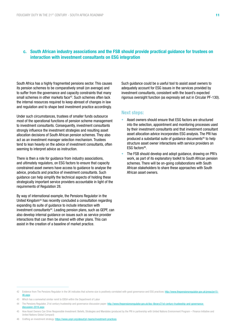## c. South African industry associations and the FSB should provide practical guidance for trustees on interaction with investment consultants on ESG integration

South Africa has a highly fragmented pensions sector. This causes its pension schemes to be comparatively small (on average) and to suffer from the governance and capacity constraints that many small schemes in other markets face<sup>42</sup>. Such schemes often lack the internal resources required to keep abreast of changes in law and regulation and to shape best investment practice accordingly.

Under such circumstances, trustees of smaller funds outsource most of the operational functions of pension scheme management to investment consultants. Consequently, investment consultants strongly influence the investment strategies and resulting asset allocation decisions of South African pension schemes. They also act as an investment manager selection mechanism. Trustees tend to lean heavily on the advice of investment consultants, often seeming to interpret advice as instruction.

There is then a role for guidance from industry associations, and ultimately regulators, on ESG factors to ensure that capacity constrained asset owners have access to guidance to analyse the advice, products and practice of investment consultants. Such guidance can help simplify the technical aspects of holding these strategically important service providers accountable in light of the requirements of Regulation 28.

By way of international example, the Pensions Regulator in the United Kingdom43 has recently concluded a consultation regarding expanding its suite of guidance to include interaction with investment consultants<sup>44</sup>. Leading pension plans, such as GEPF, can also develop internal guidance on issues such as service provider interactions that can then be shared with other plans. This can assist in the creation of a baseline of market practice.

Such guidance could be a useful tool to assist asset owners to adequately account for ESG issues in the services provided by investment consultants, consistent with the board's expected rigorous oversight function (as expressly set out in Circular PF-130).

### Next steps:

- Asset owners should ensure that ESG factors are structured into the selection, appointment and monitoring processes used by their investment consultants and that investment consultant asset allocation advice incorporates ESG analysis. The PRI has produced a substantial suite of guidance documents<sup>45</sup> to help structure asset owner interactions with service providers on ESG factors<sup>46</sup>.
- The FSB should develop and adopt guidance, drawing on PRI's work, as part of its explanatory toolkit to South African pension schemes. There will be on-going collaborations with South African stakeholders to share these approaches with South African asset owners.

<sup>42</sup> Evidence from The Pensions Regulator in the UK indicates that scheme size is positively correlated with good governance and ESG practices: [http://www.thepensionsregulator.gov.uk/press/pn15-](http://www.thepensionsregulator.gov.uk/press/pn15-46.aspx) [46.aspx](http://www.thepensionsregulator.gov.uk/press/pn15-46.aspx)

<sup>43</sup> Which has a somewhat similar remit to EBSA within the Department of Labor

<sup>44</sup> The Pensions Regulator, 21st century trusteeship and governance discussion paper: [http://www.thepensionsregulator.gov.uk/doc-library/21st-century-trusteeship-and-governance](http://www.thepensionsregulator.gov.uk/doc-library/21st-century-trusteeship-and-governance-discussion-2016.aspx)discussion-2016 aspx

<sup>45</sup> How Asset Owners Can Drive Responsible Investment: Beliefs, Strategies and Mandates (produced by the PRI in partnership with United Nations Environment Program – Finance Initiative and United Nations Global Compact)

<sup>46</sup> Crafting an investment strategy:<https://www.unpri.org/about/pri-teams/investment-practices>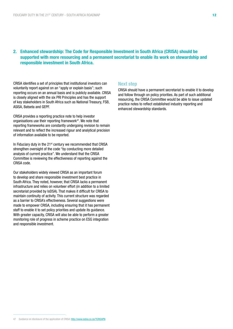# 2. Enhanced stewardship: The Code for Responsible Investment in South Africa (CRISA) should be supported with more resourcing and a permanent secretariat to enable its work on stewardship and responsible investment in South Africa.

CRISA identifies a set of principles that institutional investors can voluntarily report against on an "apply or explain basis"; such reporting occurs on an annual basis and is publicly available. CRISA is closely aligned with the six PRI Principles and has the support of key stakeholders in South Africa such as National Treasury, FSB, ASISA, Batseta and GEPF.

CRISA provides a reporting practice note to help investor organisations use their reporting framework47. We note that reporting frameworks are constantly undergoing revision to remain relevant and to reflect the increased rigour and analytical precision of information available to be reported.

In Fiduciary duty in the 21<sup>st</sup> century we recommended that CRISA strengthen oversight of the code "by conducting more detailed analysis of current practice". We understand that the CRISA Committee is reviewing the effectiveness of reporting against the CRISA code.

Our stakeholders widely viewed CRISA as an important forum to develop and share responsible investment best practice in South Africa. They noted, however, that CRISA lacks a permanent infrastructure and relies on volunteer effort (in addition to a limited secretariat provided by IoDSA). That makes it difficult for CRISA to maintain continuity of activity. This current structure was regarded as a barrier to CRISA's effectiveness. Several suggestions were made to empower CRISA, including ensuring that it has permanent staff to enable it to set policy priorities and update its guidance. With greater capacity, CRISA will also be able to perform a greater monitoring role of progress in scheme practice on ESG integration and responsible investment.

#### Next step

CRISA should have a permanent secretariat to enable it to develop and follow through on policy priorities. As part of such additional resourcing, the CRISA Committee would be able to issue updated practice notes to reflect established industry reporting and enhanced stewardship standards.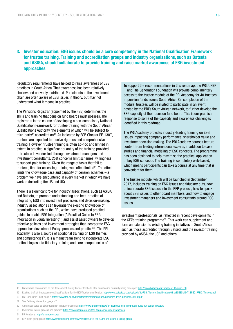3. Investor education: ESG issues should be a core competency in the National Qualification Framework for trustee training. Training and accreditation groups and industry organisations, such as Batseta and ASISA, should collaborate to provide training and raise market awareness of ESG investment approaches.

Regulatory requirements have helped to raise awareness of ESG practices in South Africa. That awareness has been relatively shallow and unevenly distributed. Participants in the investment chain are often aware of ESG issues in theory, but may not understand what it means in practice.

The Pensions Registrar (appointed by the FSB) determines the skills and training that pension fund boards must possess. The registrar is in the course of developing a non-compulsory National Qualification Framework for trustee training with the South African Qualifications Authority, the elements of which will be subject to third-party<sup>48</sup> accreditation<sup>49</sup>. As indicated by FSB Circular PF-130 $50$ . trustees are expected to receive rigorous and comprehensive training. However, trustee training is often ad-hoc and limited in extent. In practice, a significant quantity of the training provided to trustees is vendor-led, through investment managers and investment consultants. Cost concerns limit schemes' willingness to support paid training. Given the range of tasks that fall to trustees, time for accessing training was often limited<sup>51</sup>. The effect limits the knowledge base and capacity of pension schemes – a problem we have encountered in every market in which we have worked (including the US and UK).

There is a significant role for industry associations, such as ASISA and Batseta, to promote understanding and best-practice of integrating ESG into investment processes and decision-making. Industry associations can leverage the existing knowledge of organisations such as the PRI, which have produced practical guides to enable ESG integration (A Practical Guide to ESG Integration in Equity Investing<sup>52</sup>) and assist asset owners to develop effective policies and investment strategies that incorporate ESG approaches (Investment Policy: process and practice<sup>53</sup>). The PRI academy is also a source of additional training on ESG themes and competencies<sup>54</sup>. It is a mainstream trend to incorporate ESG methodologies into fiduciary training and core competencies of

To support the recommendations in this roadmap, the PRI, UNEP FI and The Generation Foundation will provide complimentary access to the trustee module of the PRI Academy for 40 trustees at pension funds across South Africa. On completion of the module, trustees will be invited to participate in an event, hosted by the PRI's South African network, to further develop the ESG capacity of their pension fund board. This is our practical response to some of the capacity and awareness challenges identified in this roadmap.

The PRI Academy provides industry-leading training on ESG issues impacting company performance, shareholder value and investment decision making. The PRI Academy courses feature content from leading international experts, in addition to case studies and financial modeling of ESG concepts. The programme has been designed to help maximise the practical application of key ESG concepts. The training is completely web-based, which means participants can take a course at any time that is convenient for them.

The trustee module, which will be launched in September 2017, includes training on ESG issues and fiduciary duty, how to incorporate ESG issues into the RFP process, how to speak about ESG issues to other board members, and how to engage investment managers and investment consultants around ESG issues.

investment professionals, as reflected in recent developments in the CFA's training programme<sup>55</sup>. This work can supplement and form an extension to existing training initiatives in South Africa. such as those accredited through Batseta and the investor training provided by ASISA, the JSE and others.

- 53 Investment Policy: process and practice: <https://www.unpri.org/about/pri-teams/investment-practices>
- 54 PRI Academy:<http://priacademy.org/>

<sup>48</sup> Batseta has been named as the Assessment Quality Partner for the trustee qualification currently being developed: <http://www.batseta.org.za/pages/118/pmit-130>

<sup>49</sup> Existing draft of the Assessment Specifications for the NQF Trustee qualification: [http://www.batseta.org.za/uploads/ftp/FSB\\_Trustee\\_Qualification/03\\_ASSESSMENT\\_SPEC\\_PPEO\\_Trustees.pdf](http://www.batseta.org.za/uploads/ftp/FSB_Trustee_Qualification/03_ASSESSMENT_SPEC_PPEO_Trustees.pdf) 50 FSB Circular PF-130, page 7:<https://www.fsb.co.za/Departments/retirementFund/Circulars/PF%20Circular%20130.pdf>

<sup>51</sup> See Defining Momentum, page 47

<sup>52</sup> A Practical Guide to ESG Integration in Equity Investing: <https://www.unpri.org/news/pri-launches-esg-integration-guide-for-equity-investors>

<sup>55</sup> CFA exam going green: <http://www.bloomberg.com/news/articles/2016-10-20/the-cfa-exam-is-going-green>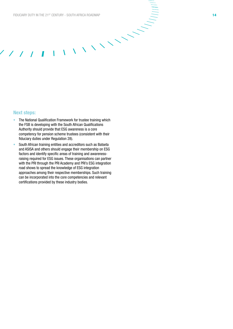$\sqrt{2}$ 

 $\mathbf{I}$ 

# Next steps:

- The National Qualification Framework for trustee training which the FSB is developing with the South African Qualifications Authority should provide that ESG awareness is a core competency for pension scheme trustees (consistent with their fiduciary duties under Regulation 28).
- South African training entities and accreditors such as Batseta and ASISA and others should engage their membership on ESG factors and identify specific areas of training and awarenessraising required for ESG issues. These organisations can partner with the PRI through the PRI Academy and PRI's ESG integration road shows to spread the knowledge of ESG integration approaches among their respective memberships. Such training can be incorporated into the core competencies and relevant certifications provided by these industry bodies.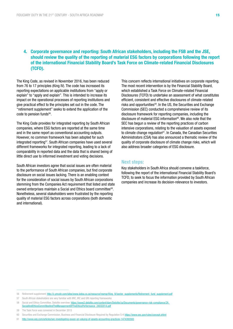# 4. Corporate governance and reporting: South African stakeholders, including the FSB and the JSE, should review the quality of the reporting of material ESG factors by corporations following the report of the international Financial Stability Board's Task Force on Climate-related Financial Disclosures (TCFD).

The King Code, as revised in November 2016, has been reduced from 76 to 17 principles (King IV). The code has increased its reporting expectations on applicable institutions from "apply or explain" to "apply and explain". This is intended to increase its impact on the operational processes of reporting institutions and give practical effect to the principles set out in the code. The "retirement supplement" seeks to extend the application of the code to pension funds<sup>56</sup>.

The King Code provides for integrated reporting by South African companies, where ESG factors are reported at the same time and in the same report as conventional accounting outputs. However, no common framework has been adopted for such integrated reporting<sup>57</sup>. South African companies have used several different frameworks for integrated reporting, leading to a lack of comparability in reported data and the data that is shared being of little direct use to informed investment and voting decisions.

South African investors agree that social issues are often material to the performance of South African companies, but find corporate disclosure on social issues lacking. There is an enabling context for the consideration of social issues by South African corporations stemming from the Companies Act requirement that listed and state owned enterprises maintain a Social and Ethics board committee58. Nonetheless, several stakeholders were frustrated by the reporting quality of material ESG factors across corporations (both domestic and international).

This concern reflects international initiatives on corporate reporting. The most recent intervention is by the Financial Stability Board, which established a Task Force on Climate-related Financial Disclosures (TCFD) to undertake an assessment of what constitutes efficient, consistent and effective disclosures of climate-related risks and opportunities<sup>59</sup>. In the US, the Securities and Exchange Commission (SEC) conducted a comprehensive review of its disclosure framework for reporting companies, including the disclosure of material ESG information<sup>60</sup>. We also note that the SEC has begun a review of the reporting practices of carbon intensive corporations, relating to the valuation of assets exposed to climate change regulation<sup>61</sup>. In Canada, the Canadian Securities Administrators (CSA) has also announced a thematic review of the quality of corporate disclosure of climate change risks, which will also address broader categories of ESG disclosure.

#### Next steps:

Key stakeholders in South Africa should convene a taskforce, following the report of the international Financial Stability Board's TCFD, to seek to focus the information provided by South African companies and increase its decision-relevance to investors.

<sup>56</sup> Retirement supplement: [http://c.ymcdn.com/sites/www.iodsa.co.za/resource/resmgr/King\\_IV/sector\\_supplements/Retirement\\_fund\\_supplement.pdf](http://c.ymcdn.com/sites/www.iodsa.co.za/resource/resmgr/King_IV/sector_supplements/Retirement_fund_supplement.pdf)

<sup>57</sup> South African stakeholders are very familiar with IIRC, IRC and GRI reporting frameworks

<sup>58</sup> Social and Ethics Committee, Deloitte overview: [https://www2.deloitte.com/content/dam/Deloitte/za/Documents/governance-risk-compliance/ZA\\_](https://www2.deloitte.com/content/dam/Deloitte/za/Documents/governance-risk-compliance/ZA_SocialAndEthicsCommitteeAndTheManagementOfTheEthicsPerformance_24032014.pdf) [SocialAndEthicsCommitteeAndTheManagementOfTheEthicsPerformance\\_24032014.pdf](https://www2.deloitte.com/content/dam/Deloitte/za/Documents/governance-risk-compliance/ZA_SocialAndEthicsCommitteeAndTheManagementOfTheEthicsPerformance_24032014.pdf)

<sup>59</sup> The Task Force was convened in December 2015

<sup>60</sup> Securities and Exchange Commission, Business and Financial Disclosure Required by Regulation S-K <https://www.sec.gov/rules/concept.shtml>

<sup>61</sup> <http://www.wsj.com/articles/sec-investigating-exxon-on-valuing-of-assets-accounting-practices-1474393593>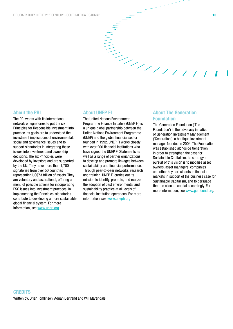# About the PRI

The PRI works with its international network of signatories to put the six Principles for Responsible Investment into practice. Its goals are to understand the investment implications of environmental, social and governance issues and to support signatories in integrating these issues into investment and ownership decisions. The six Principles were developed by investors and are supported by the UN. They have more than 1,700 signatories from over 50 countries representing US\$73 trillion of assets. They are voluntary and aspirational, offering a menu of possible actions for incorporating ESG issues into investment practices. In implementing the Principles, signatories contribute to developing a more sustainable global financial system. For more information, see [www.unpri.org.](http://www.unpri.org)

#### About UNEP FI

The United Nations Environment Programme Finance Initiative (UNEP FI) is a unique global partnership between the United Nations Environment Programme (UNEP) and the global financial sector founded in 1992. UNEP FI works closely with over 200 financial institutions who have signed the UNEP FI Statements as well as a range of partner organizations to develop and promote linkages between sustainability and financial performance. Through peer-to-peer networks, research and training, UNEP FI carries out its mission to identify, promote, and realize the adoption of best environmental and sustainability practice at all levels of financial institution operations. For more information, see [www.unepfi.org](http://www.unepfi.org).

# About The Generation Foundation

 $\begin{aligned} \mathcal{L}_{\mathcal{L}} \end{aligned}$ 

The Generation Foundation ('The Foundation') is the advocacy initiative of Generation Investment Management ('Generation'), a boutique investment manager founded in 2004. The Foundation was established alongside Generation in order to strengthen the case for Sustainable Capitalism. Its strategy in pursuit of this vision is to mobilise asset owners, asset managers, companies and other key participants in financial markets in support of the business case for Sustainable Capitalism, and to persuade them to allocate capital accordingly. For more information, see [www.genfound.org](http://www.genfound.org).